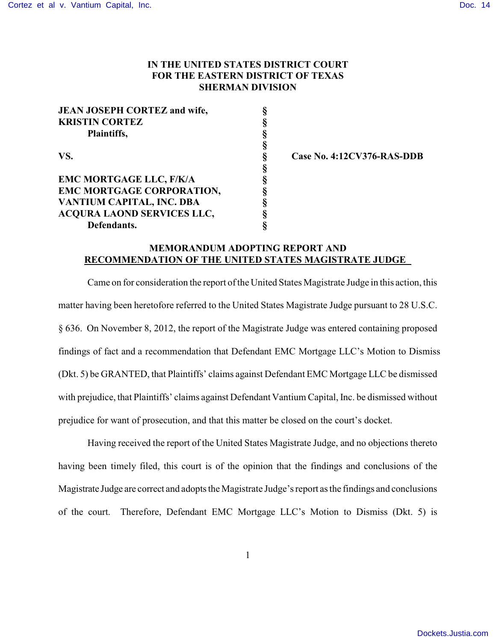## **IN THE UNITED STATES DISTRICT COURT FOR THE EASTERN DISTRICT OF TEXAS SHERMAN DIVISION**

| <b>JEAN JOSEPH CORTEZ and wife,</b> | ş |
|-------------------------------------|---|
| <b>KRISTIN CORTEZ</b>               | § |
| Plaintiffs,                         | § |
|                                     | § |
| VS.                                 | § |
|                                     | § |
| <b>EMC MORTGAGE LLC, F/K/A</b>      | ş |
| EMC MORTGAGE CORPORATION,           | § |
| VANTIUM CAPITAL, INC. DBA           | ş |
| ACQURA LAOND SERVICES LLC,          | ş |
| Defendants.                         |   |

**Case No. 4:12CV376-RAS-DDB** 

## **MEMORANDUM ADOPTING REPORT AND RECOMMENDATION OF THE UNITED STATES MAGISTRATE JUDGE**

Came on for consideration the report of the United States Magistrate Judge in this action, this matter having been heretofore referred to the United States Magistrate Judge pursuant to 28 U.S.C. § 636. On November 8, 2012, the report of the Magistrate Judge was entered containing proposed findings of fact and a recommendation that Defendant EMC Mortgage LLC's Motion to Dismiss (Dkt. 5) be GRANTED, that Plaintiffs' claims against Defendant EMC Mortgage LLC be dismissed with prejudice, that Plaintiffs' claims against Defendant Vantium Capital, Inc. be dismissed without prejudice for want of prosecution, and that this matter be closed on the court's docket.

Having received the report of the United States Magistrate Judge, and no objections thereto having been timely filed, this court is of the opinion that the findings and conclusions of the Magistrate Judge are correct and adopts the Magistrate Judge's report as the findings and conclusions of the court. Therefore, Defendant EMC Mortgage LLC's Motion to Dismiss (Dkt. 5) is